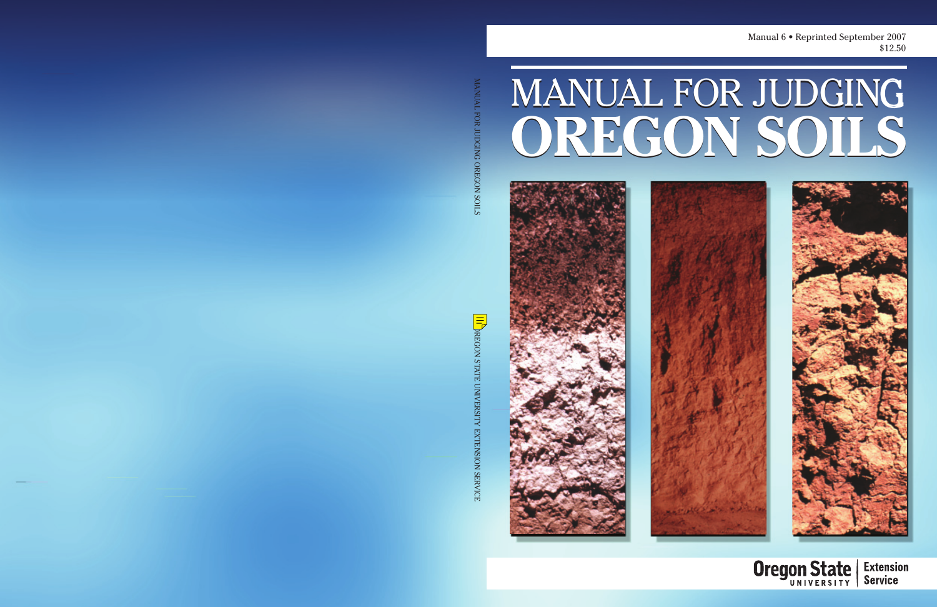Manual 6 • Reprinted September 2007 \$12.50

# **OREGON SOILS OREGON SOILS** MANUAL FOR JUDGING



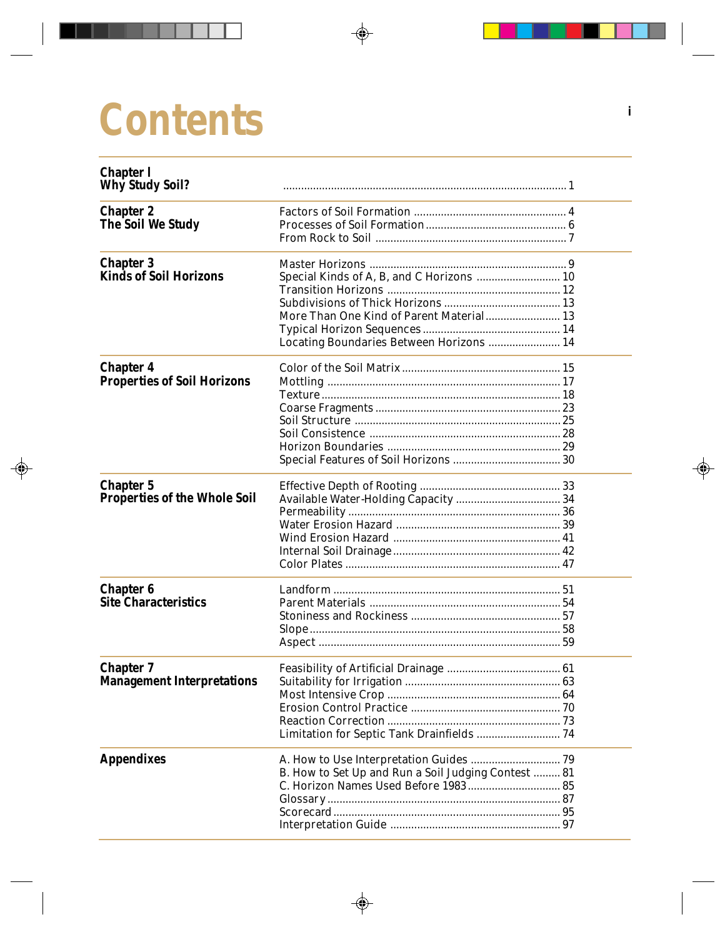# **Contents**

| <b>Chapter 1</b><br><b>Why Study Soil?</b>              |                                                                                             |  |
|---------------------------------------------------------|---------------------------------------------------------------------------------------------|--|
| <b>Chapter 2</b><br><b>The Soil We Study</b>            |                                                                                             |  |
| <b>Chapter 3</b><br><b>Kinds of Soil Horizons</b>       | Special Kinds of A, B, and C Horizons  10<br>More Than One Kind of Parent Material 13       |  |
|                                                         | Locating Boundaries Between Horizons  14                                                    |  |
| <b>Chapter 4</b><br><b>Properties of Soil Horizons</b>  |                                                                                             |  |
| <b>Chapter 5</b><br><b>Properties of the Whole Soil</b> |                                                                                             |  |
| <b>Chapter 6</b><br><b>Site Characteristics</b>         |                                                                                             |  |
| <b>Chapter 7</b><br><b>Management Interpretations</b>   | Most Intensive Crop<br>-64<br>Limitation for Septic Tank Drainfields  74                    |  |
| <b>Appendixes</b>                                       | B. How to Set Up and Run a Soil Judging Contest  81<br>C. Horizon Names Used Before 1983 85 |  |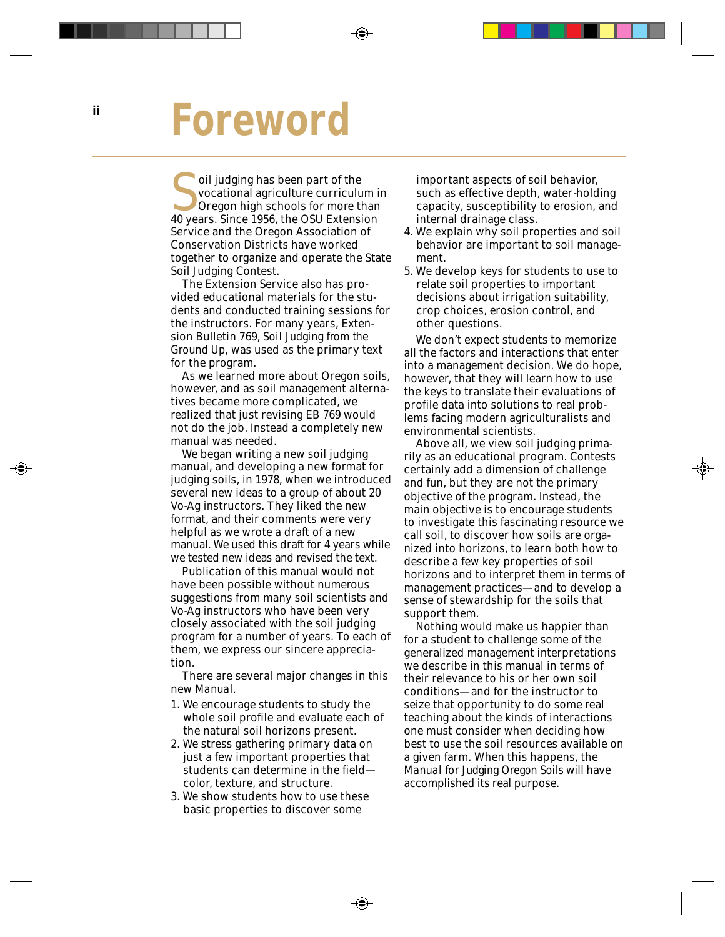# **Foreword**

oil judging has been part of the<br>
vocational agriculture curriculum i<br>
Oregon high schools for more than<br>
40 years. Since 1956, the OSU Extension vocational agriculture curriculum in 40 years. Since 1956, the OSU Extension Service and the Oregon Association of Conservation Districts have worked together to organize and operate the State Soil Judging Contest.

The Extension Service also has provided educational materials for the students and conducted training sessions for the instructors. For many years, Extension Bulletin 769, *Soil Judging from the Ground Up,* was used as the primary text for the program.

As we learned more about Oregon soils, however, and as soil management alternatives became more complicated, we realized that just revising EB 769 would not do the job. Instead a completely new manual was needed.

We began writing a new soil judging manual, and developing a new format for judging soils, in 1978, when we introduced several new ideas to a group of about 20 Vo-Ag instructors. They liked the new format, and their comments were very helpful as we wrote a draft of a new manual. We used this draft for 4 years while we tested new ideas and revised the text.

Publication of this manual would not have been possible without numerous suggestions from many soil scientists and Vo-Ag instructors who have been very closely associated with the soil judging program for a number of years. To each of them, we express our sincere appreciation.

There are several major changes in this new *Manual.*

- 1. We encourage students to study the whole soil profile and evaluate each of the natural soil horizons present.
- 2. We stress gathering primary data on just a few important properties that students can determine in the field color, texture, and structure.
- 3. We show students how to use these basic properties to discover some

important aspects of soil behavior, such as effective depth, water-holding capacity, susceptibility to erosion, and internal drainage class.

- 4. We explain why soil properties and soil behavior are important to soil management.
- 5. We develop keys for students to use to relate soil properties to important decisions about irrigation suitability, crop choices, erosion control, and other questions.

We don't expect students to memorize all the factors and interactions that enter into a management decision. We do hope, however, that they will learn how to use the keys to translate their evaluations of profile data into solutions to real problems facing modern agriculturalists and environmental scientists.

Above all, we view soil judging primarily as an educational program. Contests certainly add a dimension of challenge and fun, but they are not the primary objective of the program. Instead, the main objective is to encourage students to investigate this fascinating resource we call soil, to discover how soils are organized into horizons, to learn both how to describe a few key properties of soil horizons and to interpret them in terms of management practices—and to develop a sense of stewardship for the soils that support them.

Nothing would make us happier than for a student to challenge some of the generalized management interpretations we describe in this manual in terms of their relevance to his or her own soil conditions—and for the instructor to seize that opportunity to do some real teaching about the kinds of interactions one must consider when deciding how best to use the soil resources available on a given farm. When this happens, the *Manual for Judging Oregon Soils* will have accomplished its real purpose.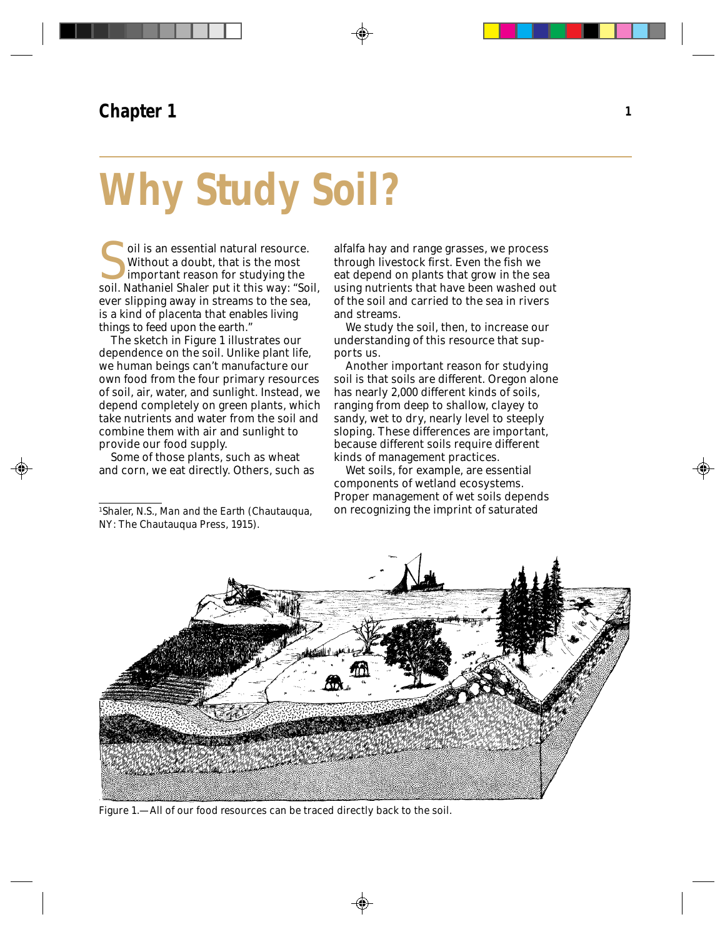# **Why Study Soil?**

oil is an essential natural resource.<br>Without a doubt, that is the most<br>important reason for studying the<br>soil. Nathaniel Shaler put it this way: "Soil, Without a doubt, that is the most important reason for studying the ever slipping away in streams to the sea, is a kind of *placenta* that enables living things to feed upon the earth."

The sketch in Figure 1 illustrates our dependence on the soil. Unlike plant life, we human beings can't manufacture our own food from the four primary resources of soil, air, water, and sunlight. Instead, we depend completely on green plants, which take nutrients and water from the soil and combine them with air and sunlight to provide our food supply.

Some of those plants, such as wheat and corn, we eat directly. Others, such as alfalfa hay and range grasses, we process through livestock first. Even the fish we eat depend on plants that grow in the sea using nutrients that have been washed out of the soil and carried to the sea in rivers and streams.

We study the soil, then, to increase our understanding of this resource that supports us.

Another important reason for studying soil is that soils are different. Oregon alone has nearly 2,000 different kinds of soils, ranging from deep to shallow, clayey to sandy, wet to dry, nearly level to steeply sloping. These differences are important, because different soils require different kinds of management practices.

Wet soils, for example, are essential components of wetland ecosystems. Proper management of wet soils depends on recognizing the imprint of saturated



Figure 1.—All of our food resources can be traced directly back to the soil.

<sup>1</sup>Shaler, N.S., *Man and the Earth* (Chautauqua, NY: The Chautauqua Press, 1915).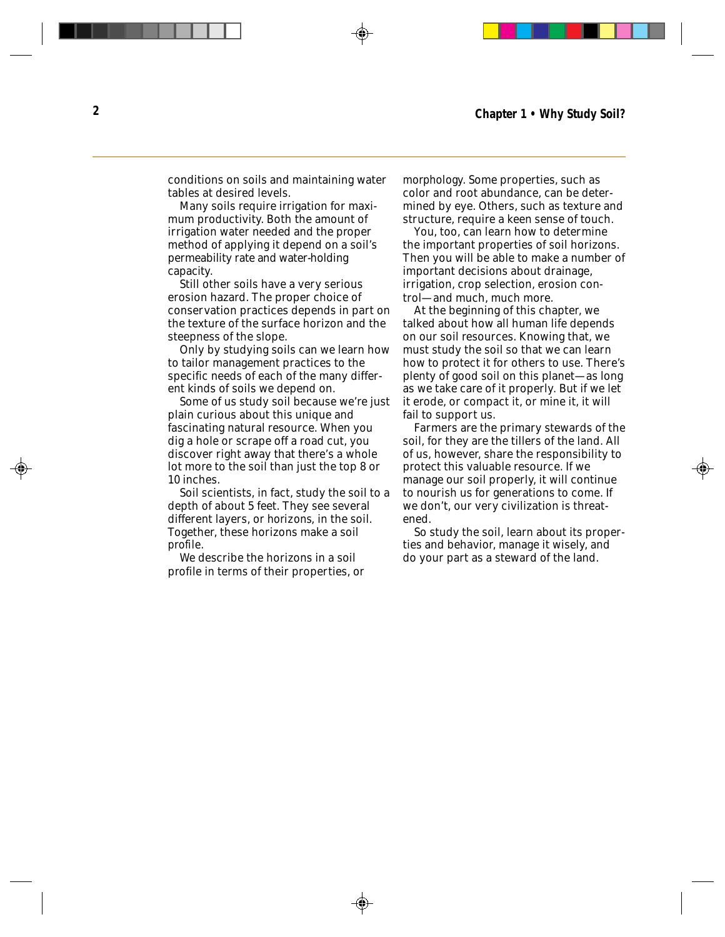conditions on soils and maintaining water tables at desired levels.

Many soils require irrigation for maximum productivity. Both the amount of irrigation water needed and the proper method of applying it depend on a soil's permeability rate and water-holding capacity.

Still other soils have a very serious erosion hazard. The proper choice of conservation practices depends in part on the texture of the surface horizon and the steepness of the slope.

Only by studying soils can we learn how to tailor management practices to the specific needs of each of the many different kinds of soils we depend on.

Some of us study soil because we're just plain curious about this unique and fascinating natural resource. When you dig a hole or scrape off a road cut, you discover right away that there's a whole lot more to the soil than just the top 8 or 10 inches.

Soil scientists, in fact, study the soil to a depth of about 5 feet. They see several different layers, or *horizons,* in the soil. Together, these horizons make a soil *profile.*

We describe the horizons in a soil profile in terms of their properties, or *morphology.* Some properties, such as color and root abundance, can be determined by eye. Others, such as texture and structure, require a keen sense of touch.

You, too, can learn how to determine the important properties of soil horizons. Then you will be able to make a number of important decisions about drainage, irrigation, crop selection, erosion control—and much, much more.

At the beginning of this chapter, we talked about how all human life depends on our soil resources. Knowing that, we must study the soil so that we can learn how to protect it for others to use. There's plenty of good soil on this planet—as long as we take care of it properly. But if we let it erode, or compact it, or mine it, it will fail to support us.

Farmers are the primary stewards of the soil, for they are the tillers of the land. All of us, however, share the responsibility to protect this valuable resource. If we manage our soil properly, it will continue to nourish us for generations to come. If we don't, our very civilization is threatened.

So study the soil, learn about its properties and behavior, manage it wisely, and do your part as a steward of the land.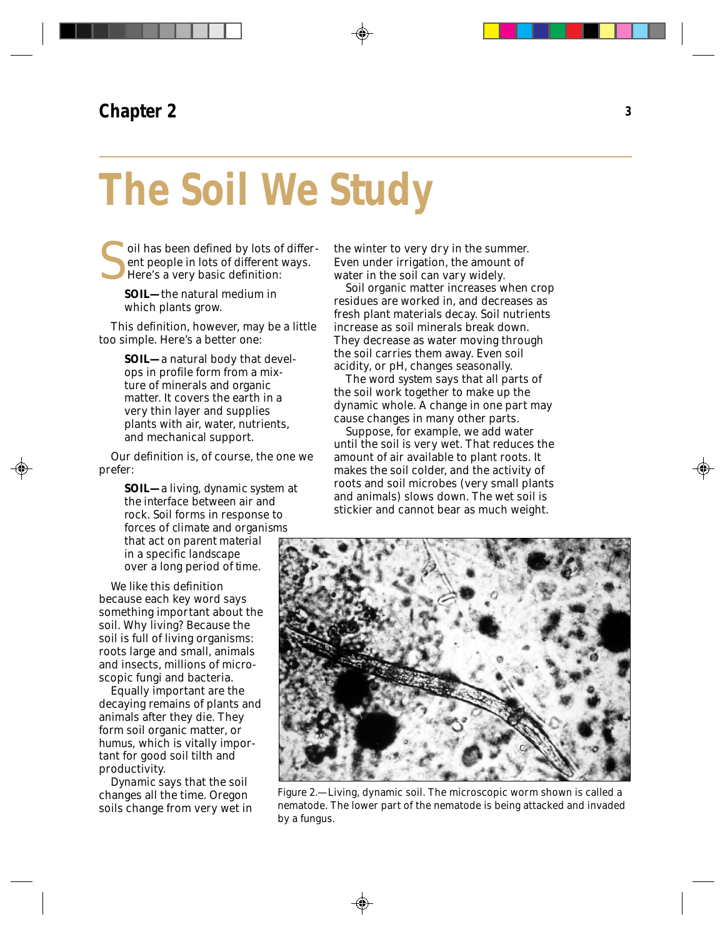# **The Soil We Study**

oil has been defined by lots of different people in lots of different ways. Here's a very basic definition:

**SOIL—**the natural medium in which plants grow.

This definition, however, may be a little too simple. Here's a better one:

> **SOIL—a** natural body that develops in profile form from a mixture of minerals and organic matter. It covers the earth in a very thin layer and supplies plants with air, water, nutrients, and mechanical support.

Our definition is, of course, the one we prefer:

> **SOIL—**a *living, dynamic system* at the *interface* between air and rock. Soil forms in response to forces of *climate* and *organisms* that act on *parent material* in a specific *landscape* over a long period of *time.*

We like this definition because each key word says something important about the soil. Why *living?* Because the soil is full of living organisms: roots large and small, animals and insects, millions of microscopic fungi and bacteria.

Equally important are the decaying remains of plants and animals after they die. They form soil organic matter, or *humus,* which is vitally important for good soil tilth and productivity.

*Dynamic* says that the soil changes all the time. Oregon soils change from very wet in the winter to very dry in the summer. Even under irrigation, the amount of water in the soil can vary widely.

Soil organic matter increases when crop residues are worked in, and decreases as fresh plant materials decay. Soil nutrients increase as soil minerals break down. They decrease as water moving through the soil carries them away. Even soil acidity, or pH, changes seasonally.

The word *system* says that all parts of the soil work together to make up the dynamic whole. A change in one part may cause changes in many other parts.

Suppose, for example, we add water until the soil is very wet. That reduces the amount of air available to plant roots. It makes the soil colder, and the activity of roots and soil microbes (very small plants and animals) slows down. The wet soil is stickier and cannot bear as much weight.



Figure 2.—Living, dynamic soil. The microscopic worm shown is called a nematode. The lower part of the nematode is being attacked and invaded by a fungus.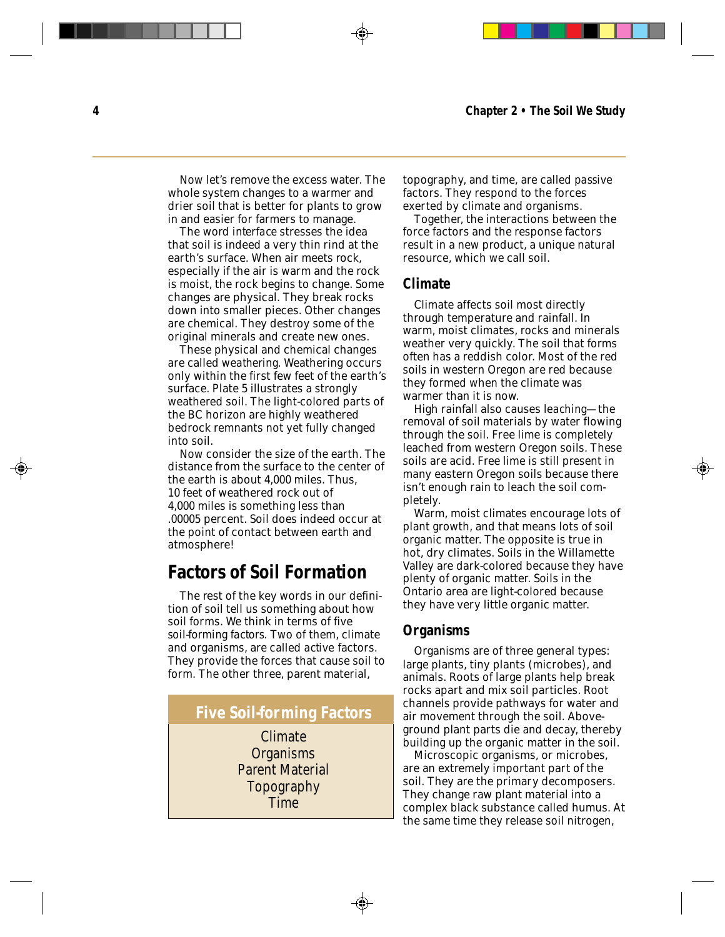Now let's remove the excess water. The whole system changes to a warmer and drier soil that is better for plants to grow in and easier for farmers to manage.

The word *interface* stresses the idea that soil is indeed a very thin rind at the earth's surface. When air meets rock, especially if the air is warm and the rock is moist, the rock begins to change. Some changes are physical. They break rocks down into smaller pieces. Other changes are chemical. They destroy some of the original minerals and create new ones.

These physical and chemical changes are called *weathering.* Weathering occurs only within the first few feet of the earth's surface. Plate 5 illustrates a strongly weathered soil. The light-colored parts of the BC horizon are highly weathered bedrock remnants not yet fully changed into soil.

Now consider the size of the earth. The distance from the surface to the center of the earth is about 4,000 miles. Thus, 10 feet of weathered rock out of 4,000 miles is something less than .00005 percent. Soil does indeed occur at the point of contact between earth and atmosphere!

# **Factors of Soil Formation**

The rest of the key words in our definition of soil tell us something about how soil forms. We think in terms of five *soil-forming factors.* Two of them, climate and organisms, are called *active* factors. They provide the forces that cause soil to form. The other three, parent material,

#### **Five Soil-forming Factors**

Climate Organisms Parent Material Topography Time

topography, and time, are called *passive* factors. They respond to the forces exerted by climate and organisms.

Together, the interactions between the force factors and the response factors result in a new product, a unique natural resource, which we call soil.

#### **Climate**

Climate affects soil most directly through temperature and rainfall. In warm, moist climates, rocks and minerals weather very quickly. The soil that forms often has a reddish color. Most of the red soils in western Oregon are red because they formed when the climate was warmer than it is now.

High rainfall also causes *leaching—*the removal of soil materials by water flowing through the soil. Free lime is completely leached from western Oregon soils. These soils are acid. Free lime is still present in many eastern Oregon soils because there isn't enough rain to leach the soil completely.

Warm, moist climates encourage lots of plant growth, and that means lots of soil organic matter. The opposite is true in hot, dry climates. Soils in the Willamette Valley are dark-colored because they have plenty of organic matter. Soils in the Ontario area are light-colored because they have very little organic matter.

#### **Organisms**

Organisms are of three general types: large plants, tiny plants (microbes), and animals. Roots of large plants help break rocks apart and mix soil particles. Root channels provide pathways for water and air movement through the soil. Aboveground plant parts die and decay, thereby building up the organic matter in the soil.

Microscopic organisms, or microbes, are an extremely important part of the soil. They are the primary decomposers. They change raw plant material into a complex black substance called humus. At the same time they release soil nitrogen,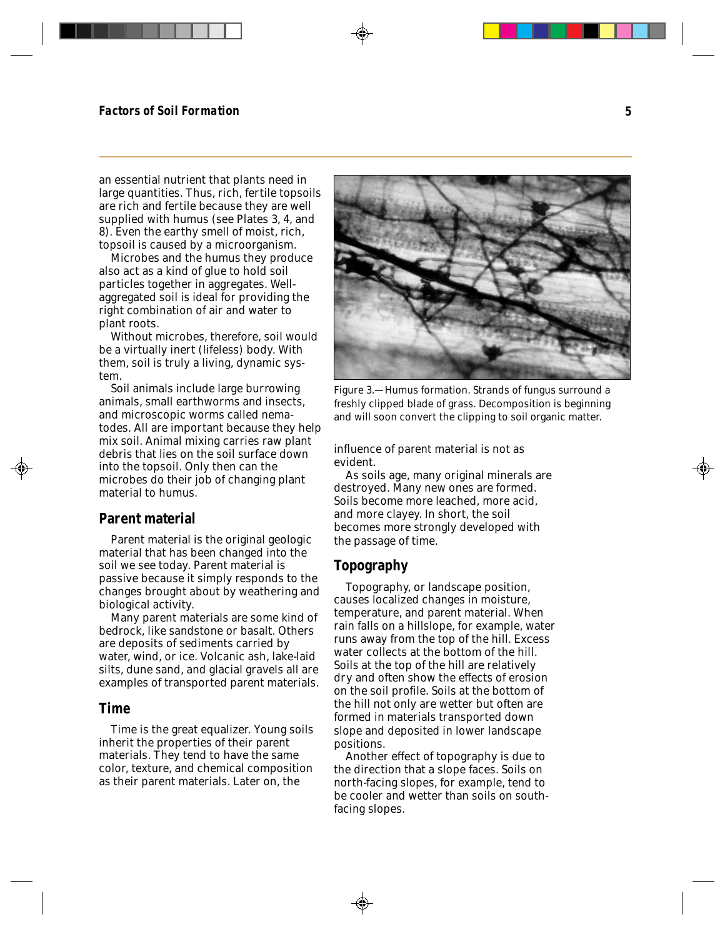an essential nutrient that plants need in large quantities. Thus, rich, fertile topsoils are rich and fertile because they are well supplied with humus (see Plates 3, 4, and 8). Even the earthy smell of moist, rich, topsoil is caused by a microorganism.

Microbes and the humus they produce also act as a kind of glue to hold soil particles together in aggregates. Wellaggregated soil is ideal for providing the right combination of air and water to plant roots.

Without microbes, therefore, soil would be a virtually inert (lifeless) body. With them, soil is truly a living, dynamic system.

Soil animals include large burrowing animals, small earthworms and insects, and microscopic worms called nematodes. All are important because they help mix soil. Animal mixing carries raw plant debris that lies on the soil surface down into the topsoil. Only then can the microbes do their job of changing plant material to humus.

#### **Parent material**

Parent material is the original geologic material that has been changed into the soil we see today. Parent material is passive because it simply responds to the changes brought about by weathering and biological activity.

Many parent materials are some kind of bedrock, like sandstone or basalt. Others are deposits of sediments carried by water, wind, or ice. Volcanic ash, lake-laid silts, dune sand, and glacial gravels all are examples of transported parent materials.

#### **Time**

Time is the great equalizer. Young soils inherit the properties of their parent materials. They tend to have the same color, texture, and chemical composition as their parent materials. Later on, the



Figure 3.—Humus formation. Strands of fungus surround a freshly clipped blade of grass. Decomposition is beginning and will soon convert the clipping to soil organic matter.

influence of parent material is not as evident.

As soils age, many original minerals are destroyed. Many new ones are formed. Soils become more leached, more acid, and more clayey. In short, the soil becomes more strongly developed with the passage of time.

#### **Topography**

Topography, or landscape position, causes localized changes in moisture, temperature, and parent material. When rain falls on a hillslope, for example, water runs away from the top of the hill. Excess water collects at the bottom of the hill. Soils at the top of the hill are relatively dry and often show the effects of erosion on the soil profile. Soils at the bottom of the hill not only are wetter but often are formed in materials transported down slope and deposited in lower landscape positions.

Another effect of topography is due to the direction that a slope faces. Soils on north-facing slopes, for example, tend to be cooler and wetter than soils on southfacing slopes.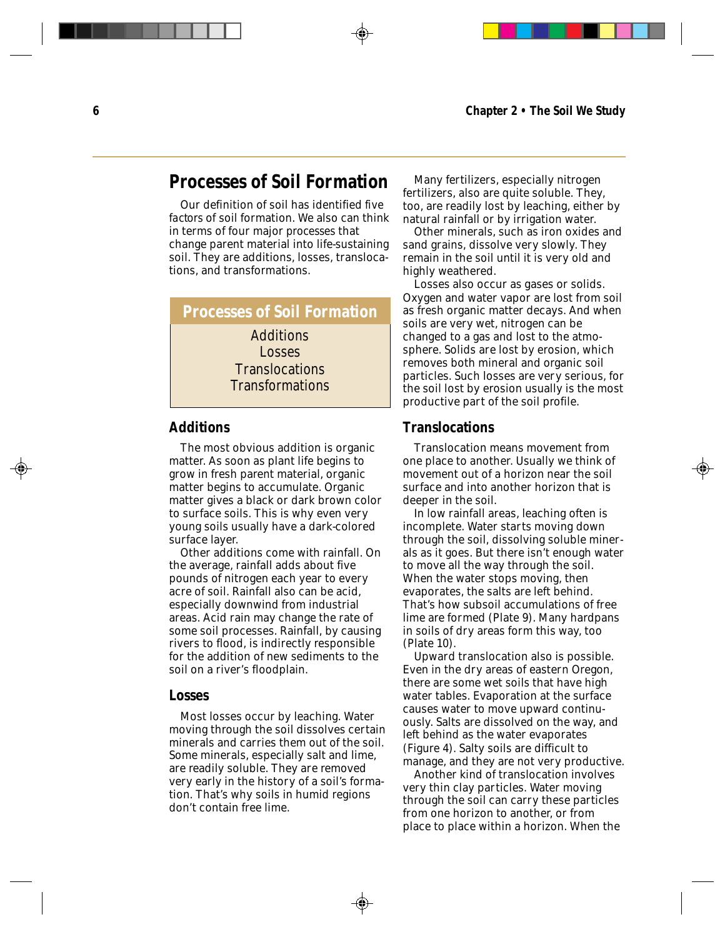# **Processes of Soil Formation**

Our definition of soil has identified *five factors* of soil formation. We also can think in terms of four major *processes* that change parent material into life-sustaining soil. They are additions, losses, translocations, and transformations.

**Processes of Soil Formation** Additions Losses **Translocations Transformations** 

#### **Additions**

The most obvious addition is organic matter. As soon as plant life begins to grow in fresh parent material, organic matter begins to accumulate. Organic matter gives a black or dark brown color to surface soils. This is why even very young soils usually have a dark-colored surface layer.

Other additions come with rainfall. On the average, rainfall adds about five pounds of nitrogen each year to every acre of soil. Rainfall also can be acid, especially downwind from industrial areas. Acid rain may change the rate of some soil processes. Rainfall, by causing rivers to flood, is indirectly responsible for the addition of new sediments to the soil on a river's floodplain.

#### **Losses**

Most losses occur by leaching. Water moving through the soil dissolves certain minerals and carries them out of the soil. Some minerals, especially salt and lime, are readily soluble. They are removed very early in the history of a soil's formation. That's why soils in humid regions don't contain free lime.

Many fertilizers, especially nitrogen fertilizers, also are quite soluble. They, too, are readily lost by leaching, either by natural rainfall or by irrigation water.

Other minerals, such as iron oxides and sand grains, dissolve very slowly. They remain in the soil until it is very old and highly weathered.

Losses also occur as gases or solids. Oxygen and water vapor are lost from soil as fresh organic matter decays. And when soils are very wet, nitrogen can be changed to a gas and lost to the atmosphere. Solids are lost by erosion, which removes both mineral and organic soil particles. Such losses are very serious, for the soil lost by erosion usually is the most productive part of the soil profile.

#### **Translocations**

Translocation means movement from one place to another. Usually we think of movement out of a horizon near the soil surface and into another horizon that is deeper in the soil.

In low rainfall areas, leaching often is incomplete. Water starts moving down through the soil, dissolving soluble minerals as it goes. But there isn't enough water to move all the way through the soil. When the water stops moving, then evaporates, the salts are left behind. That's how subsoil accumulations of free lime are formed (Plate 9). Many hardpans in soils of dry areas form this way, too (Plate 10).

Upward translocation also is possible. Even in the dry areas of eastern Oregon, there are some wet soils that have high water tables. Evaporation at the surface causes water to move upward continuously. Salts are dissolved on the way, and left behind as the water evaporates (Figure 4). Salty soils are difficult to manage, and they are not very productive.

Another kind of translocation involves very thin clay particles. Water moving through the soil can carry these particles from one horizon to another, or from place to place within a horizon. When the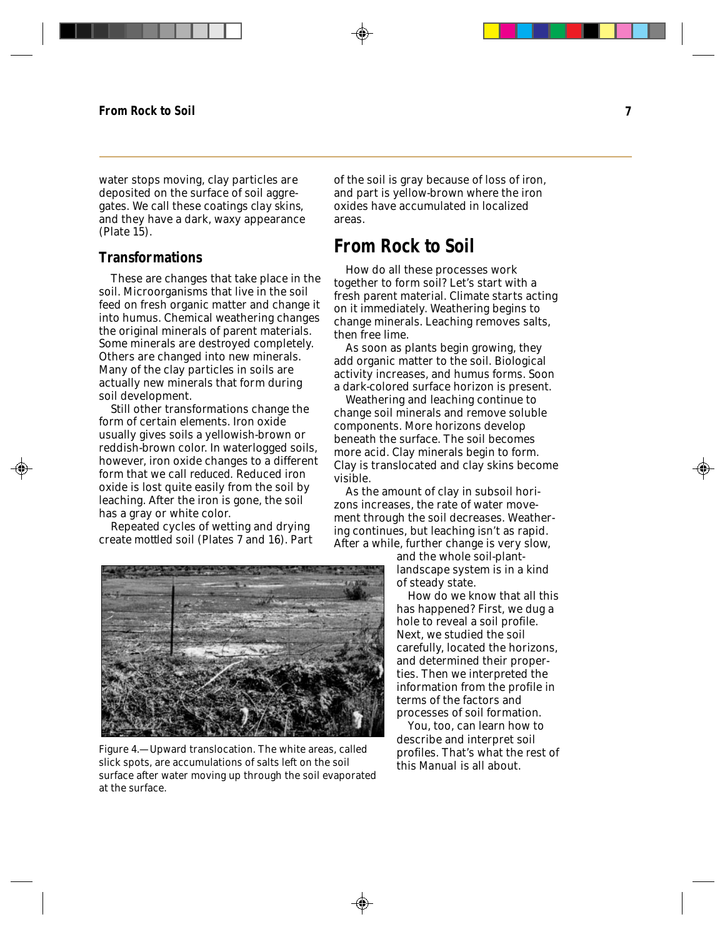water stops moving, clay particles are deposited on the surface of soil aggregates. We call these coatings *clay skins,* and they have a dark, waxy appearance (Plate 15).

#### **Transformations**

These are changes that take place in the soil. Microorganisms that live in the soil feed on fresh organic matter and change it into humus. Chemical weathering changes the original minerals of parent materials. Some minerals are destroyed completely. Others are changed into new minerals. Many of the clay particles in soils are actually new minerals that form during soil development.

Still other transformations change the form of certain elements. Iron oxide usually gives soils a yellowish-brown or reddish-brown color. In waterlogged soils, however, iron oxide changes to a different form that we call *reduced.* Reduced iron oxide is lost quite easily from the soil by

create *mottled* soil (Plates 7 and 16). Part

leaching. After the iron is gone, the soil has a gray or white color. Repeated cycles of wetting and drying

of the soil is gray because of loss of iron, and part is yellow-brown where the iron oxides have accumulated in localized areas.

# **From Rock to Soil**

How do all these processes work together to form soil? Let's start with a fresh parent material. Climate starts acting on it immediately. Weathering begins to change minerals. Leaching removes salts, then free lime.

As soon as plants begin growing, they add organic matter to the soil. Biological activity increases, and humus forms. Soon a dark-colored surface horizon is present.

Weathering and leaching continue to change soil minerals and remove soluble components. More horizons develop beneath the surface. The soil becomes more acid. Clay minerals begin to form. Clay is translocated and clay skins become visible.

As the amount of clay in subsoil horizons increases, the rate of water movement through the soil decreases. Weathering continues, but leaching isn't as rapid. After a while, further change is very slow,

> and the whole soil-plantlandscape system is in a kind of steady state.

How do we know that all this has happened? First, we dug a hole to reveal a soil profile. Next, we studied the soil carefully, located the horizons, and determined their properties. Then we interpreted the information from the profile in terms of the factors and processes of soil formation.

You, too, can learn how to describe and interpret soil profiles. That's what the rest of this *Manual* is all about.

Figure 4.—Upward translocation. The white areas, called slick spots, are accumulations of salts left on the soil surface after water moving up through the soil evaporated at the surface.

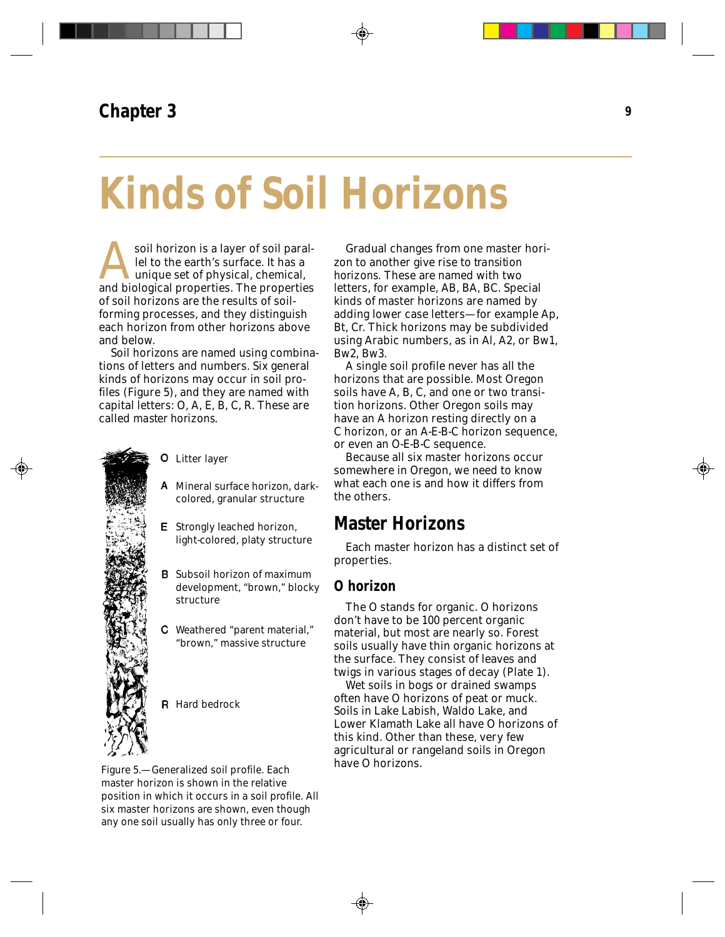# **Kinds of Soil Horizons**

soil horizon is a layer of soil parallel to the earth's surface. It has a unique set of physical, chemical, and biological properties. The properties of soil horizons are the results of soilforming processes, and they distinguish each horizon from other horizons above and below.

Soil horizons are named using combinations of letters and numbers. Six general kinds of horizons may occur in soil profiles (Figure 5), and they are named with capital letters: O, A, E, B, C, R. These are called *master horizons.*



### Litter layer

- A Mineral surface horizon, darkcolored, granular structure
- **E** Strongly leached horizon, light-colored, platy structure
- **B** Subsoil horizon of maximum development, "brown," blocky structure
- Weathered "parent material," "brown," massive structure

**R** Hard bedrock

Figure 5.—Generalized soil profile. Each master horizon is shown in the relative position in which it occurs in a soil profile. All six master horizons are shown, even though any one soil usually has only three or four.

Gradual changes from one master horizon to another give rise to *transition horizons.* These are named with two letters, for example, AB, BA, BC. Special kinds of master horizons are named by adding lower case letters—for example Ap, Bt, Cr. Thick horizons may be subdivided using Arabic numbers, as in Al, A2, or Bw1, Bw2, Bw3.

A single soil profile never has all the horizons that are possible. Most Oregon soils have A, B, C, and one or two transition horizons. Other Oregon soils may have an A horizon resting directly on a C horizon, or an A-E-B-C horizon sequence, or even an O-E-B-C sequence.

Because all six master horizons occur somewhere in Oregon, we need to know what each one is and how it differs from the others.

# **Master Horizons**

Each master horizon has a distinct set of properties.

#### **O horizon**

The O stands for organic. O horizons don't have to be 100 percent organic material, but most are nearly so. Forest soils usually have thin organic horizons at the surface. They consist of leaves and twigs in various stages of decay (Plate 1).

Wet soils in bogs or drained swamps often have O horizons of peat or muck. Soils in Lake Labish, Waldo Lake, and Lower Klamath Lake all have O horizons of this kind. Other than these, very few agricultural or rangeland soils in Oregon have O horizons.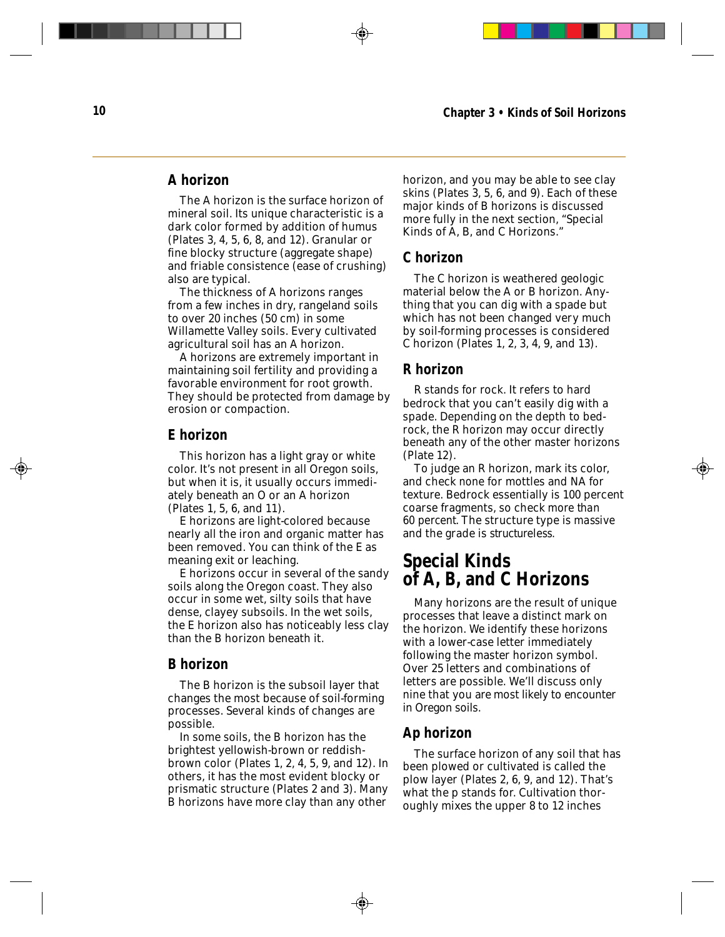#### **A horizon**

The A horizon is the surface horizon of mineral soil. Its unique characteristic is a dark color formed by addition of humus (Plates 3, 4, 5, 6, 8, and 12). Granular or fine blocky structure (aggregate shape) and friable consistence (ease of crushing) also are typical.

The thickness of A horizons ranges from a few inches in dry, rangeland soils to over 20 inches (50 cm) in some Willamette Valley soils. Every cultivated agricultural soil has an A horizon.

A horizons are extremely important in maintaining soil fertility and providing a favorable environment for root growth. They should be protected from damage by erosion or compaction.

#### **E horizon**

This horizon has a light gray or white color. It's not present in all Oregon soils, but when it is, it usually occurs immediately beneath an O or an A horizon (Plates 1, 5, 6, and 11).

E horizons are light-colored because nearly all the iron and organic matter has been removed. You can think of the E as meaning exit or leaching.

E horizons occur in several of the sandy soils along the Oregon coast. They also occur in some wet, silty soils that have dense, clayey subsoils. In the wet soils, the E horizon also has noticeably less clay than the B horizon beneath it.

#### **B horizon**

The B horizon is the subsoil layer that changes the most because of soil-forming processes. Several kinds of changes are possible.

In some soils, the B horizon has the brightest yellowish-brown or reddishbrown color (Plates 1, 2, 4, 5, 9, and 12). In others, it has the most evident blocky or prismatic structure (Plates 2 and 3). Many B horizons have more clay than any other

horizon, and you may be able to see clay skins (Plates 3, 5, 6, and 9). Each of these major kinds of B horizons is discussed more fully in the next section, "Special Kinds of A, B, and C Horizons."

#### **C horizon**

The C horizon is weathered geologic material below the A or B horizon. Anything that you can dig with a spade but which has not been changed very much by soil-forming processes is considered C horizon (Plates 1, 2, 3, 4, 9, and 13).

#### **R horizon**

R stands for rock. It refers to hard bedrock that you can't easily dig with a spade. Depending on the depth to bedrock, the R horizon may occur directly beneath any of the other master horizons (Plate 12).

To judge an R horizon, mark its color, and check *none* for mottles and NA for texture. Bedrock essentially is 100 percent coarse fragments, so check *more than 60 percent.* The structure type is *massive* and the grade is *structureless.*

### **Special Kinds of A, B, and C Horizons**

Many horizons are the result of unique processes that leave a distinct mark on the horizon. We identify these horizons with a lower-case letter immediately following the master horizon symbol. Over 25 letters and combinations of letters are possible. We'll discuss only nine that you are most likely to encounter in Oregon soils.

#### **Ap horizon**

The surface horizon of any soil that has been plowed or cultivated is called the plow layer (Plates 2, 6, 9, and 12). That's what the p stands for. Cultivation thoroughly mixes the upper 8 to 12 inches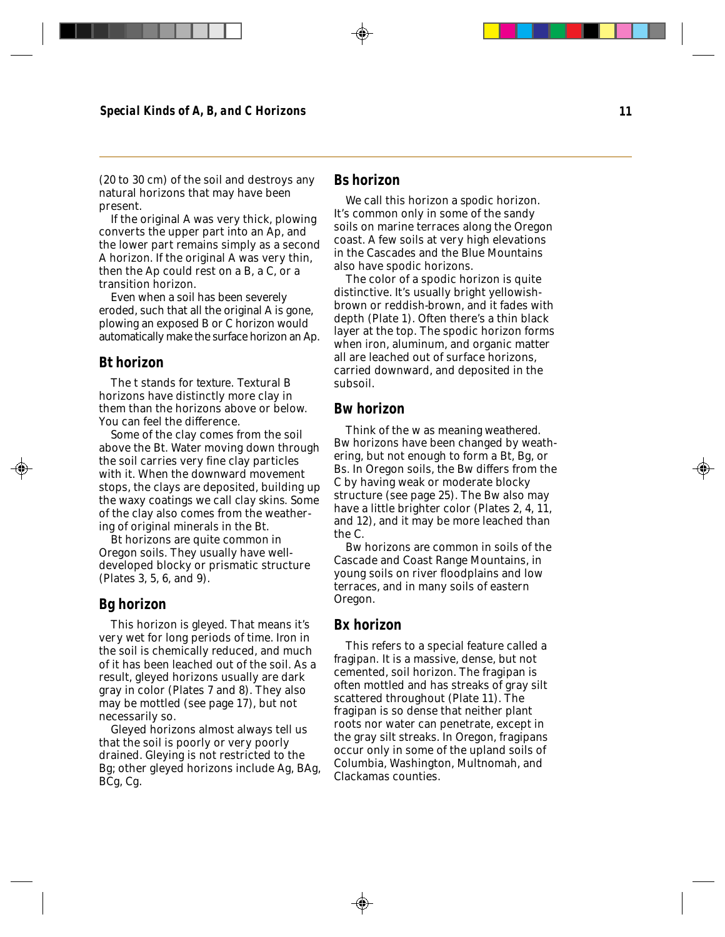(20 to 30 cm) of the soil and destroys any natural horizons that may have been present.

If the original A was very thick, plowing converts the upper part into an Ap, and the lower part remains simply as a second A horizon. If the original A was very thin, then the Ap could rest on a B, a C, or a transition horizon.

Even when a soil has been severely eroded, such that all the original A is gone, plowing an exposed B or C horizon would automatically make the surface horizon an Ap.

#### **Bt horizon**

The t stands for *texture.* Textural B horizons have distinctly more clay in them than the horizons above or below. You can feel the difference.

Some of the clay comes from the soil above the Bt. Water moving down through the soil carries very fine clay particles with it. When the downward movement stops, the clays are deposited, building up the waxy coatings we call *clay skins.* Some of the clay also comes from the weathering of original minerals in the Bt.

Bt horizons are quite common in Oregon soils. They usually have welldeveloped blocky or prismatic structure (Plates 3, 5, 6, and 9).

#### **Bg horizon**

This horizon is *gleyed.* That means it's very wet for long periods of time. Iron in the soil is chemically reduced, and much of it has been leached out of the soil. As a result, gleyed horizons usually are dark gray in color (Plates 7 and 8). They also may be mottled (see page 17), but not necessarily so.

Gleyed horizons almost always tell us that the soil is poorly or very poorly drained. Gleying is not restricted to the Bg; other gleyed horizons include Ag, BAg, BCg, Cg.

#### **Bs horizon**

We call this horizon a *spodic* horizon. It's common only in some of the sandy soils on marine terraces along the Oregon coast. A few soils at very high elevations in the Cascades and the Blue Mountains also have spodic horizons.

The color of a spodic horizon is quite distinctive. It's usually bright yellowishbrown or reddish-brown, and it fades with depth (Plate 1). Often there's a thin black layer at the top. The spodic horizon forms when iron, aluminum, and organic matter all are leached out of surface horizons, carried downward, and deposited in the subsoil.

#### **Bw horizon**

Think of the w as meaning *weathered.* Bw horizons have been changed by weathering, but not enough to form a Bt, Bg, or Bs. In Oregon soils, the Bw differs from the C by having weak or moderate blocky structure (see page 25). The Bw also may have a little brighter color (Plates 2, 4, 11, and 12), and it may be more leached than the C.

Bw horizons are common in soils of the Cascade and Coast Range Mountains, in young soils on river floodplains and low terraces, and in many soils of eastern Oregon.

#### **Bx horizon**

This refers to a special feature called a *fragipan.* It is a massive, dense, but not cemented, soil horizon. The fragipan is often mottled and has streaks of gray silt scattered throughout (Plate 11). The fragipan is so dense that neither plant roots nor water can penetrate, except in the gray silt streaks. In Oregon, fragipans occur only in some of the upland soils of Columbia, Washington, Multnomah, and Clackamas counties.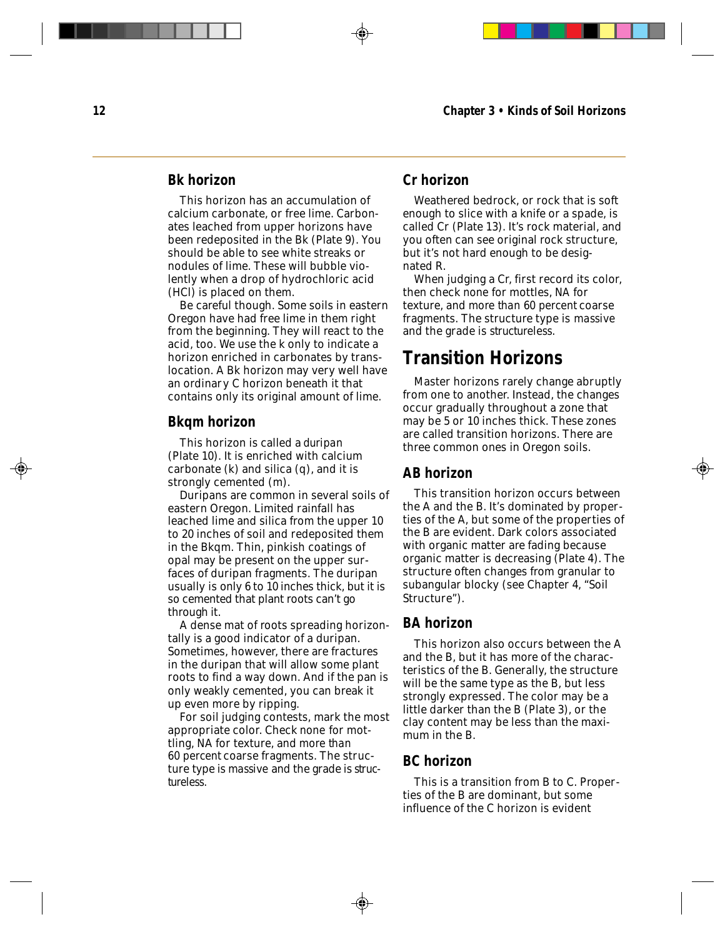#### **Bk horizon**

This horizon has an accumulation of calcium carbonate, or free lime. Carbonates leached from upper horizons have been redeposited in the Bk (Plate 9). You should be able to see white streaks or nodules of lime. These will bubble violently when a drop of hydrochloric acid (HCl) is placed on them.

Be careful though. Some soils in eastern Oregon have had free lime in them right from the beginning. They will react to the acid, too. We use the k only to indicate a horizon enriched in carbonates by translocation. A Bk horizon may very well have an ordinary C horizon beneath it that contains only its original amount of lime.

#### **Bkqm horizon**

This horizon is called a *duripan* (Plate 10). It is enriched with calcium carbonate (k) and silica (q), and it is strongly cemented (m).

Duripans are common in several soils of eastern Oregon. Limited rainfall has leached lime and silica from the upper 10 to 20 inches of soil and redeposited them in the Bkqm. Thin, pinkish coatings of opal may be present on the upper surfaces of duripan fragments. The duripan usually is only 6 to 10 inches thick, but it is so cemented that plant roots can't go through it.

A dense mat of roots spreading horizontally is a good indicator of a duripan. Sometimes, however, there are fractures in the duripan that will allow some plant roots to find a way down. And if the pan is only weakly cemented, you can break it up even more by ripping.

For soil judging contests, mark the most appropriate color. Check *none* for mottling, NA for texture, and *more than 60 percent* coarse fragments. The structure type is *massive* and the grade is *structureless.*

#### **Cr horizon**

Weathered bedrock, or rock that is soft enough to slice with a knife or a spade, is called Cr (Plate 13). It's rock material, and you often can see original rock structure, but it's not hard enough to be designated R.

When judging a Cr, first record its color, then check *none* for mottles, *NA* for texture, and *more than 60 percent* coarse fragments. The structure type is *massive* and the grade is *structureless*.

## **Transition Horizons**

Master horizons rarely change abruptly from one to another. Instead, the changes occur gradually throughout a zone that may be 5 or 10 inches thick. These zones are called transition horizons. There are three common ones in Oregon soils.

#### **AB horizon**

This transition horizon occurs between the A and the B. It's dominated by properties of the A, but some of the properties of the B are evident. Dark colors associated with organic matter are fading because organic matter is decreasing (Plate 4). The structure often changes from granular to subangular blocky (see Chapter 4, "Soil Structure").

#### **BA horizon**

This horizon also occurs between the A and the B, but it has more of the characteristics of the B. Generally, the structure will be the same type as the B, but less strongly expressed. The color may be a little darker than the B (Plate 3), or the clay content may be less than the maximum in the B.

#### **BC horizon**

This is a transition from B to C. Properties of the B are dominant, but some influence of the C horizon is evident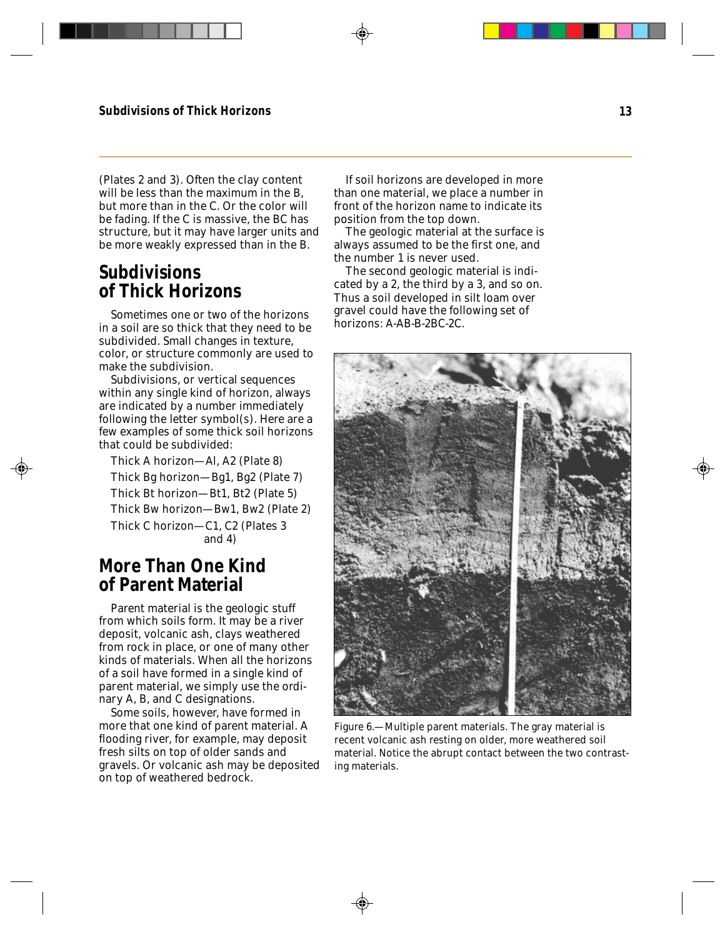(Plates 2 and 3). Often the clay content will be less than the maximum in the B. but more than in the C. Or the color will be fading. If the C is massive, the BC has structure, but it may have larger units and be more weakly expressed than in the B.

## **Subdivisions of Thick Horizons**

Sometimes one or two of the horizons in a soil are so thick that they need to be subdivided. Small changes in texture, color, or structure commonly are used to make the subdivision.

Subdivisions, or vertical sequences within any single kind of horizon, always are indicated by a number immediately following the letter symbol(s). Here are a few examples of some thick soil horizons that could be subdivided:

Thick A horizon—Al, A2 (Plate 8) Thick Bg horizon—Bg1, Bg2 (Plate 7) Thick Bt horizon—Bt1, Bt2 (Plate 5) Thick Bw horizon—Bw1, Bw2 (Plate 2) Thick C horizon—C1, C2 (Plates 3 and 4)

## **More Than One Kind of Parent Material**

Parent material is the geologic stuff from which soils form. It may be a river deposit, volcanic ash, clays weathered from rock in place, or one of many other kinds of materials. When all the horizons of a soil have formed in a single kind of parent material, we simply use the ordinary A, B, and C designations.

Some soils, however, have formed in more that one kind of parent material. A flooding river, for example, may deposit fresh silts on top of older sands and gravels. Or volcanic ash may be deposited on top of weathered bedrock.

If soil horizons are developed in more than one material, we place a number in front of the horizon name to indicate its position from the top down.

The geologic material at the surface is always assumed to be the first one, and the number 1 is never used.

The second geologic material is indicated by a 2, the third by a 3, and so on. Thus a soil developed in silt loam over gravel could have the following set of horizons: A-AB-B-2BC-2C.



Figure 6.—Multiple parent materials. The gray material is recent volcanic ash resting on older, more weathered soil material. Notice the abrupt contact between the two contrasting materials.